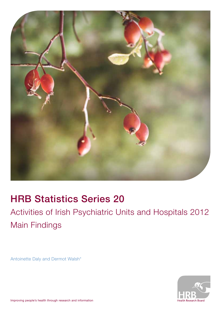

## HRB Statistics Series 20

Activities of Irish Psychiatric Units and Hospitals 2012 Main Findings

Antoinette Daly and Dermot Walsh\*

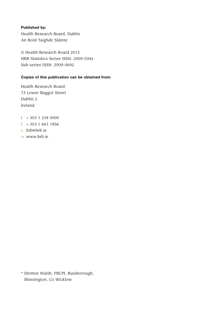#### Published by:

Health Research Board, Dublin An Bord Taighde Sláinte

© Health Research Board 2013 HRB Statistics Series ISSN: 2009-034x Sub-series ISSN: 2009–0692

#### Copies of this publication can be obtained from:

Health Research Board 73 Lower Baggot Street Dublin 2 Ireland

- $t + 35312345000$
- f + 353 1 661 1856
- e hrb@hrb.ie
- w www.hrb.ie

\* Dermot Walsh, FRCPI, Russborough, Blessington, Co Wicklow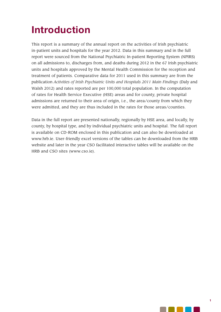# Introduction

This report is a summary of the annual report on the activities of Irish psychiatric in-patient units and hospitals for the year 2012. Data in this summary and in the full report were sourced from the National Psychiatric In-patient Reporting System (NPIRS) on all admissions to, discharges from, and deaths during 2012 in the 67 Irish psychiatric units and hospitals approved by the Mental Health Commission for the reception and treatment of patients. Comparative data for 2011 used in this summary are from the publication *Activities of Irish Psychiatric Units and Hospitals 2011 Main Findings* (Daly and Walsh 2012) and rates reported are per 100,000 total population. In the computation of rates for Health Service Executive (HSE) areas and for county, private hospital admissions are returned to their area of origin, i.e., the area/county from which they were admitted, and they are thus included in the rates for those areas/counties.

Data in the full report are presented nationally, regionally by HSE area, and locally, by county, by hospital type, and by individual psychiatric units and hospital. The full report is available on CD-ROM enclosed in this publication and can also be downloaded at www.hrb.ie. User-friendly excel versions of the tables can be downloaded from the HRB website and later in the year CSO facilitated interactive tables will be available on the HRB and CSO sites (www.cso.ie).

a na katika na katika na katika na katika na katika na katika na katika na katika na katika na katika na katik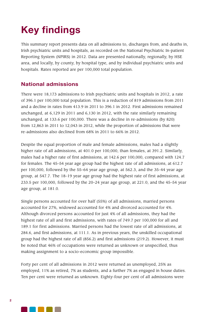# Key findings

This summary report presents data on all admissions to, discharges from, and deaths in, Irish psychiatric units and hospitals, as recorded on the National Psychiatric In-patient Reporting System (NPIRS) in 2012. Data are presented nationally, regionally, by HSE area, and locally, by county, by hospital type, and by individual psychiatric units and hospitals. Rates reported are per 100,000 total population.

### National admissions

There were 18,173 admissions to Irish psychiatric units and hospitals in 2012, a rate of 396.1 per 100,000 total population. This is a reduction of 819 admissions from 2011 and a decline in rates from 413.9 in 2011 to 396.1 in 2012. First admissions remained unchanged, at 6,129 in 2011 and 6,130 in 2012, with the rate similarly remaining unchanged, at 133.6 per 100,000. There was a decline in re-admissions (by 820) from 12,863 in 2011 to 12,043 in 2012, while the proportion of admissions that were re-admissions also declined from 68% in 2011 to 66% in 2012.

Despite the equal proportion of male and female admissions, males had a slightly higher rate of all admissions, at 401.0 per 100,000, than females, at 391.2. Similarly, males had a higher rate of first admissions, at 142.6 per 100,000, compared with 124.7 for females. The 45–54 year age group had the highest rate of all admissions, at 612.7 per 100,000, followed by the 55–64 year age group, at 562.3, and the 35–44 year age group, at 547.7. The 18–19 year age group had the highest rate of first admissions, at 233.5 per 100,000, followed by the 20–24 year age group, at 221.0, and the 45–54 year age group, at 181.0.

Single persons accounted for over half (55%) of all admissions, married persons accounted for 27%, widowed accounted for 4% and divorced accounted for 4%. Although divorced persons accounted for just 4% of all admissions, they had the highest rate of all and first admissions, with rates of 749.7 per 100,000 for all and 189.1 for first admissions. Married persons had the lowest rate of all admissions, at 284.6, and first admissions, at 111.1. As in previous years, the unskilled occupational group had the highest rate of all (856.2) and first admissions (219.2). However, it must be noted that 46% of occupations were returned as unknown or unspecified, thus making assignment to a socio-economic group impossible.

Forty per cent of all admissions in 2012 were returned as unemployed, 25% as employed, 11% as retired, 7% as students, and a further 7% as engaged in house duties. Ten per cent were returned as unknown. Eighty-four per cent of all admissions were

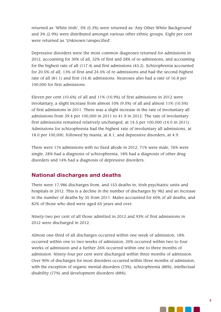returned as 'White Irish', 5% (5.3%) were returned as 'Any Other White Background' and 3% (2.9%) were distributed amongst various other ethnic groups. Eight per cent were returned as 'Unknown/unspecified'.

Depressive disorders were the most common diagnoses returned for admissions in 2012, accounting for 30% of all, 32% of first and 28% of re-admissions, and accounting for the highest rate of all (117.4) and first admissions (43.2). Schizophrenia accounted for 20.5% of all, 13% of first and 24.5% of re-admissions and had the second-highest rate of all (81.1) and first (16.8) admissions. Neuroses also had a rate of 16.8 per 100,000 for first admissions.

Eleven per cent (10.6%) of all and 11% (10.9%) of first admissions in 2012 were involuntary, a slight increase from almost 10% (9.5%) of all and almost 11% (10.5%) of first admissions in 2011. There was a slight increase in the rate of involuntary all admissions from 39.4 per 100,000 in 2011 to 41.9 in 2012. The rate of involuntary first admissions remained relatively unchanged, at 14.5 per 100,000 (14.0 in 2011). Admissions for schizophrenia had the highest rate of involuntary all admissions, at 18.0 per 100,000, followed by mania, at 8.1, and depressive disorders, at 4.9.

There were 174 admissions with no fixed abode in 2012; 71% were male, 76% were single, 28% had a diagnosis of schizophrenia, 18% had a diagnosis of other drug disorders and 14% had a diagnosis of depressive disorders.

## National discharges and deaths

There were 17,986 discharges from, and 153 deaths in, Irish psychiatric units and hospitals in 2012. This is a decline in the number of discharges by 982 and an increase in the number of deaths by 35 from 2011. Males accounted for 60% of all deaths, and 82% of those who died were aged 65 years and over.

Ninety-two per cent of all those admitted in 2012 and 93% of first admissions in 2012 were discharged in 2012.

Almost one-third of all discharges occurred within one week of admission, 18% occurred within one to two weeks of admission, 20% occurred within two to four weeks of admission and a further 26% occurred within one to three months of admission. Ninety-four per cent were discharged within three months of admission. Over 90% of discharges for most disorders occurred within three months of admission, with the exception of organic mental disorders (73%), schizophrenia (88%), intellectual disability (77%) and development disorders (88%).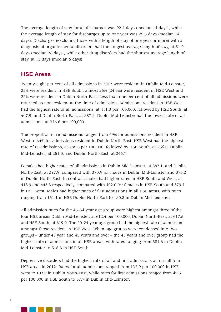The average length of stay for all discharges was 92.4 days (median 14 days), while the average length of stay for discharges up to one year was 25.5 days (median 14 days). Discharges (excluding those with a length of stay of one year or more) with a diagnosis of organic mental disorders had the longest average length of stay, at 51.9 days (median 26 days), while other drug disorders had the shortest average length of stay, at 13 days (median 6 days).

### HSE Areas

Twenty-eight per cent of all admissions in 2012 were resident in Dublin Mid-Leinster, 25% were resident in HSE South, almost 25% (24.5%) were resident in HSE West and 22% were resident in Dublin North-East. Less than one per cent of all admissions were returned as non-resident at the time of admission. Admissions resident in HSE West had the highest rate of all admissions, at 411.3 per 100,000, followed by HSE South, at 407.9, and Dublin North-East, at 387.2. Dublin Mid-Leinster had the lowest rate of all admissions, at 376.6 per 100,000.

The proportion of re-admissions ranged from 69% for admissions resident in HSE West to 64% for admissions resident in Dublin North-East. HSE West had the highest rate of re-admissions, at 285.6 per 100,000, followed by HSE South, at 266.0, Dublin Mid-Leinster, at 251.3, and Dublin North-East, at 246.7.

Females had higher rates of all admissions in Dublin Mid-Leinster, at 382.1, and Dublin North-East, at 397.9, compared with 370.9 for males in Dublin Mid-Leinster and 376.2 in Dublin North-East. In contrast, males had higher rates in HSE South and West, at 413.9 and 443.3 respectively, compared with 402.0 for females in HSE South and 379.4 in HSE West. Males had higher rates of first admissions in all HSE areas, with rates ranging from 151.1 in HSE Dublin North-East to 130.3 in Dublin Mid-Leinster.

All admission rates for the 45–54 year age group were highest amongst three of the four HSE areas: Dublin Mid-Leinster, at 612.4 per 100,000, Dublin North-East, at 617.5, and HSE South, at 619.0. The 20–24 year age group had the highest rate of admission amongst those resident in HSE West. When age groups were condensed into two groups – under 45 year and 45 years and over – the 45 years and over group had the highest rate of admissions in all HSE areas, with rates ranging from 581.6 in Dublin Mid-Leinster to 516.3 in HSE South.

Depressive disorders had the highest rate of all and first admissions across all four HSE areas in 2012. Rates for all admissions ranged from 132.9 per 100,000 in HSE West to 103.9 in Dublin North-East, while rates for first admissions ranged from 49.3 per 100,000 in HSE South to 37.7 in Dublin Mid-Leinster.

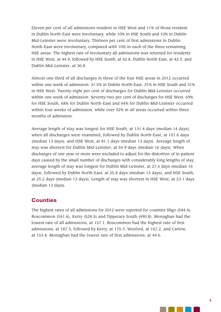Eleven per cent of all admissions resident in HSE West and 11% of those resident in Dublin North-East were involuntary, while 10% in HSE South and 10% in Dublin Mid-Leinster were involuntary. Thirteen per cent of first admissions in Dublin North-East were involuntary, compared with 10% in each of the three remaining HSE areas. The highest rate of involuntary all admissions was returned for residents in HSE West, at 44.9, followed by HSE South, at 42.8, Dublin North-East, at 42.3, and Dublin Mid-Leinster, at 36.8.

Almost one-third of all discharges in three of the four HSE areas in 2012 occurred within one week of admission: 31.5% in Dublin North-East, 31% in HSE South and 31% in HSE West. Twenty-eight per cent of discharges for Dublin Mid-Leinster occurred within one week of admission. Seventy-two per cent of discharges for HSE West, 69% for HSE South, 68% for Dublin North-East and 64% for Dublin Mid-Leinster occurred within four weeks of admission, while over 92% in all areas occurred within three months of admission.

Average length of stay was longest for HSE South, at 131.4 days (median 14 days), when all discharges were examined, followed by Dublin North-East, at 107.6 days (median 13 days), and HSE West, at 81.1 days (median 13 days). Average length of stay was shortest for Dublin Mid-Leinster, at 54.9 days (median 16 days). When discharges of one year or more were excluded to adjust for the distortion of in-patient days caused by the small number of discharges with considerably long lengths of stay, average length of stay was longest for Dublin Mid-Leinster, at 27.5 days (median 16 days), followed by Dublin North-East, at 25.8 days (median 13 days), and HSE South, at 25.2 days (median 13 days). Length of stay was shortest in HSE West, at 23.1 days (median 13 days).

## **Counties**

The highest rates of all admissions for 2012 were reported for counties Sligo (544.4), Roscommon (541.6), Kerry (528.5) and Tipperary South (490.8). Monaghan had the lowest rate of all admissions, at 157.1. Roscommon had the highest rate of first admissions, at 187.3, followed by Kerry, at 175.3, Wexford, at 167.2, and Carlow, at 153.8. Monaghan had the lowest rate of first admissions, at 44.6.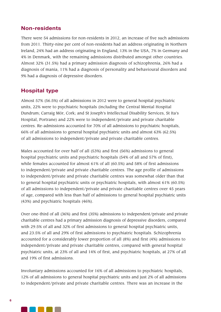### Non-residents

There were 54 admissions for non-residents in 2012, an increase of five such admissions from 2011. Thirty-nine per cent of non-residents had an address originating in Northern Ireland, 24% had an address originating in England, 13% in the USA, 7% in Germany and 4% in Denmark, with the remaining admissions distributed amongst other countries. Almost 32% (31.5%) had a primary admission diagnosis of schizophrenia, 26% had a diagnosis of mania, 11% had a diagnosis of personality and behavioural disorders and 9% had a diagnosis of depressive disorders.

## Hospital type

Almost 57% (56.5%) of all admissions in 2012 were to general hospital psychiatric units, 22% were to psychiatric hospitals (including the Central Mental Hospital Dundrum; Carraig Mór, Cork; and St Joseph's Intellectual Disability Services, St Ita's Hospital, Portrane) and 22% were to independent/private and private charitable centres. Re-admissions accounted for 70% of all admissions to psychiatric hospitals, 66% of all admissions to general hospital psychiatric units and almost 63% (62.5%) of all admissions to independent/private and private charitable centres.

Males accounted for over half of all (53%) and first (56%) admissions to general hospital psychiatric units and psychiatric hospitals (54% of all and 57% of first), while females accounted for almost 61% of all (60.5%) and 58% of first admissions to independent/private and private charitable centres. The age profile of admissions to independent/private and private charitable centres was somewhat older than that to general hospital psychiatric units or psychiatric hospitals, with almost 61% (60.5%) of all admissions to independent/private and private charitable centres over 45 years of age, compared with less than half of admissions to general hospital psychiatric units (43%) and psychiatric hospitals (46%).

Over one-third of all (36%) and first (35%) admissions to independent/private and private charitable centres had a primary admission diagnosis of depressive disorders, compared with 29.5% of all and 32% of first admissions to general hospital psychiatric units, and 23.5% of all and 29% of first admissions to psychiatric hospitals. Schizophrenia accounted for a considerably lower proportion of all (8%) and first (4%) admissions to independent/private and private charitable centres, compared with general hospital psychiatric units, at 23% of all and 14% of first, and psychiatric hospitals, at 27% of all and 19% of first admissions.

Involuntary admissions accounted for 16% of all admissions to psychiatric hospitals, 12% of all admissions to general hospital psychiatric units and just 2% of all admissions to independent/private and private charitable centres. There was an increase in the

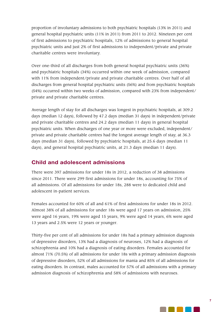proportion of involuntary admissions to both psychiatric hospitals (13% in 2011) and general hospital psychiatric units (11% in 2011) from 2011 to 2012. Nineteen per cent of first admissions to psychiatric hospitals, 12% of admissions to general hospital psychiatric units and just 2% of first admissions to independent/private and private charitable centres were involuntary.

Over one-third of all discharges from both general hospital psychiatric units (36%) and psychiatric hospitals (34%) occurred within one week of admission, compared with 11% from independent/private and private charitable centres. Over half of all discharges from general hospital psychiatric units (56%) and from psychiatric hospitals (54%) occurred within two weeks of admission, compared with 23% from independent/ private and private charitable centres.

Average length of stay for all discharges was longest in psychiatric hospitals, at 309.2 days (median 12 days), followed by 47.2 days (median 31 days) in independent/private and private charitable centres and 24.2 days (median 11 days) in general hospital psychiatric units. When discharges of one year or more were excluded, independent/ private and private charitable centres had the longest average length of stay, at 36.3 days (median 31 days), followed by psychiatric hospitals, at 25.6 days (median 11 days), and general hospital psychiatric units, at 21.3 days (median 11 days).

## Child and adolescent admissions

There were 397 admissions for under 18s in 2012, a reduction of 38 admissions since 2011. There were 299 first admissions for under 18s, accounting for 75% of all admissions. Of all admissions for under 18s, 288 were to dedicated child and adolescent in-patient services.

Females accounted for 60% of all and 61% of first admissions for under 18s in 2012. Almost 38% of all admissions for under 18s were aged 17 years on admission, 25% were aged 16 years, 19% were aged 15 years, 9% were aged 14 years, 6% were aged 13 years and 2.5% were 12 years or younger.

Thirty-five per cent of all admissions for under 18s had a primary admission diagnosis of depressive disorders, 13% had a diagnosis of neuroses, 12% had a diagnosis of schizophrenia and 10% had a diagnosis of eating disorders. Females accounted for almost 71% (70.5%) of all admissions for under 18s with a primary admission diagnosis of depressive disorders, 52% of all admissions for mania and 85% of all admissions for eating disorders. In contrast, males accounted for 57% of all admissions with a primary admission diagnosis of schizophrenia and 58% of admissions with neuroses.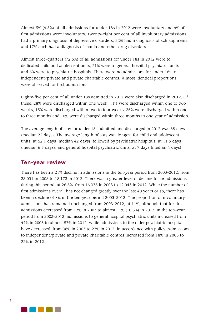Almost 5% (4.5%) of all admissions for under 18s in 2012 were involuntary and 4% of first admissions were involuntary. Twenty-eight per cent of all involuntary admissions had a primary diagnosis of depressive disorders, 22% had a diagnosis of schizophrenia and 17% each had a diagnosis of mania and other drug disorders.

Almost three-quarters (72.5%) of all admissions for under 18s in 2012 were to dedicated child and adolescent units, 21% were to general hospital psychiatric units and 6% were to psychiatric hospitals. There were no admissions for under 18s to independent/private and private charitable centres. Almost identical proportions were observed for first admissions.

Eighty-five per cent of all under 18s admitted in 2012 were also discharged in 2012. Of these, 28% were discharged within one week, 11% were discharged within one to two weeks, 15% were discharged within two to four weeks, 36% were discharged within one to three months and 10% were discharged within three months to one year of admission.

The average length of stay for under 18s admitted and discharged in 2012 was 38 days (median 22 days). The average length of stay was longest for child and adolescent units, at 52.1 days (median 42 days), followed by psychiatric hospitals, at 11.5 days (median 6.5 days), and general hospital psychiatric units, at 7 days (median 4 days).

### Ten-year review

There has been a 21% decline in admissions in the ten-year period from 2003–2012, from 23,031 in 2003 to 18,173 in 2012. There was a greater level of decline for re-admissions during this period, at 26.5%, from 16,375 in 2003 to 12,043 in 2012. While the number of first admissions overall has not changed greatly over the last 40 years or so, there has been a decline of 8% in the ten-year period 2003–2012. The proportion of involuntary admissions has remained unchanged from 2003–2012, at 11%, although that for first admissions decreased from 13% in 2003 to almost 11% (10.5%) in 2012. In the ten–year period from 2003–2012, admissions to general hospital psychiatric units increased from 44% in 2003 to almost 57% in 2012, while admissions to the older psychiatric hospitals have decreased, from 38% in 2003 to 22% in 2012, in accordance with policy. Admissions to independent/private and private charitable centres increased from 18% in 2003 to 22% in 2012.